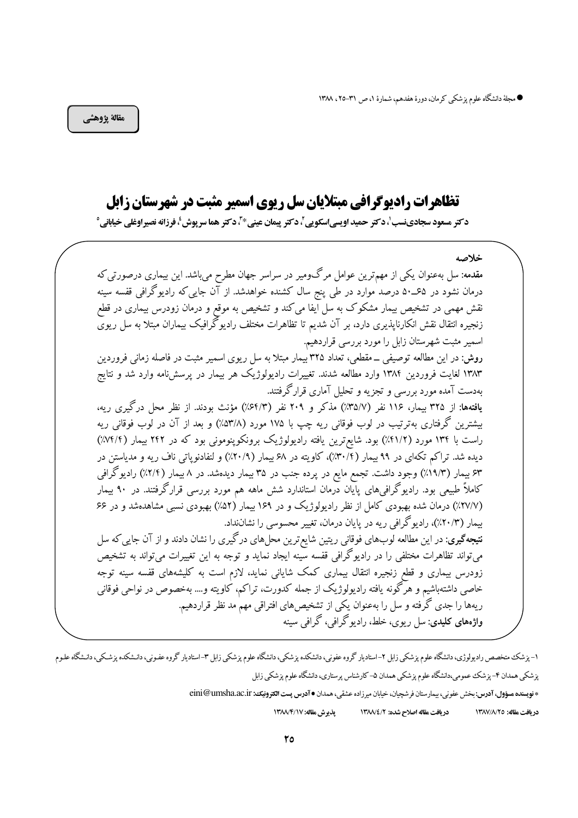● مجلهٔ دانشگاه علوم پزشکی کرمان، دورهٔ هفدهم، شمارهٔ ۱، ص ۳۱–۲۵ ، ۱۳۸۸

مقالة يژوهشي

# **تظاهرات رادیوگرافی مبتلایان سل ریوی اسمیر مثبت در شهرستان زابل**

د کتر مسعود سجادینسب ٰ، د کتر حمید اویسی اسکویی ، د کتر پیمان عینی \* ، د کتر هما سریوش ٔ، فرزانه نصیراوغلی خیابانی <sup>0</sup>

خلاصه مقدمه: سل بهعنوان یکی از مهمترین عوامل مرگومیر در سراسر جهان مطرح میباشد. این بیماری درصورتی که درمان نشود در ۵۵ـ۵۰ درصد موارد در طی پنج سال کشنده خواهدشد. از آن جایی که رادیوگرافی قفسه سینه نقش مهمی در تشخیص بیمار مشکوک به سل ایفا می کند و تشخیص به موقع و درمان زودرس بیماری در قطع زنجیره انتقال نقش انکارناپذیری دارد، بر آن شدیم تا تظاهرات مختلف رادیوگرافیک بیماران مبتلا به سل ریوی اسمیر مثبت شهرستان زابل را مورد بررسی قراردهیم. روش: در این مطالعه توصیفی ـ مقطعی، تعداد ۳۲۵ بیمار مبتلا به سل ریوی اسمیر مثبت در فاصله زمانی فروردین ۱۳۸۳ لغایت فروردین ۱۳۸۴ وارد مطالعه شدند. تغییرات رادیولوژیک هر بیمار در پرسشنامه وارد شد و نتایج بهدست آمده مورد بررسی و تجزیه و تحلیل آماری قرارگرفتند. یافتهها: از ۳۲۵ بیمار، ۱۱۶ نفر (۳۵/۷٪) مذکر و ۲۰۹ نفر (۶۴/۳٪) مؤنث بودند. از نظر محل درگیری ریه، بیشترین گرفتاری بهترتیب در لوب فوقانی ریه چپ با ۱۷۵ مورد (۵۳/۸٪) و بعد از آن در لوب فوقانی ریه راست با ۱۳۴ مورد (۶۱/۲٪) بود. شایع ترین یافته رادیولوژیک برونکوپنومونی بود که در ۲۴۲ بیمار (۷۴/۴٪) دیده شد. تراکم تکهای در ۹۹ بیمار (۳۰/۴٪)، کاویته در ۶۸ بیمار (۲۰/۹٪) و لنفادنویاتی ناف ریه و مدیاستن در ۶۳ بیمار (۱۹/۳٪) وجود داشت. تجمع مایع در پرده جنب در ۳۵ بیمار دیدهشد. در ۸ بیمار (۲/۴٪) رادیوگرافی کاملاً طبیعی بود. رادیوگرافیهای پایان درمان استاندارد شش ماهه هم مورد بررسی قرارگرفتند. در ۹۰ بیمار (٢٧/٧٪) درمان شده بهبودی کامل از نظر رادیولوژیک و در ١۶٩ بیمار (۵۲٪) بهبودی نسبی مشاهدهشد و در ۶۶ بیمار (۲۰/۳٪)، رادیوگرافی ریه در پایان درمان، تغییر محسوسی را نشاننداد. **نتیجهگیری**: در این مطالعه لوبهای فوقانی ریتین شایع ترین محل۹های درگیری را نشان دادند و از آن جایی که سل میتواند تظاهرات مختلفی را در رادیوگرافی قفسه سینه ایجاد نماید و توجه به این تغییرات میتواند به تشخیص زودرس بیماری و قطع زنجیره انتقال بیماری کمک شایانی نماید، لازم است به کلیشههای قفسه سینه توجه خاصی داشتهباشیم و هرگونه یافته رادیولوژیک از جمله کدورت، تراکم، کاویته و…. بهخصوص در نواحی فوقانی ریهها را جدی گرفته و سل را بهعنوان یکی از تشخیصهای افتراقی مهم مد نظر قراردهیم. **واژههای کلیدی**: سل ریوی، خلط، رادیوگرافی، گرافی سینه

۱- یزشک متخصص رادیولوژی، دانشگاه علوم یزشکی زابل ۲-استادیار گروه عفونی، دانشکده یزشکی، استادیار و استادیار گروه عفونی، دانشکده یزشکی، دانشگاه علیوم يزشكي همدان ۴– يزشك عمومي،دانشگاه علوم يزشكي همدان ۵– كارشناس پرستاري، دانشگاه علوم يزشكي زابل \* فويسنده مسؤول، آدرس: بخش عفوني، بيمارستان فرشچيان، خيابان ميرزاده عشقي، همدان • آدرس پست الكترونيك: eini@umsha.ac.ir

> يذوش مقاله: ١٣٨٨/٤/١٣٨٧ در بافت مقاله اصلاح شده: ١٣٨٨/٤/٢ در بافت مقاله: ١٣٨٧/٨/٢٥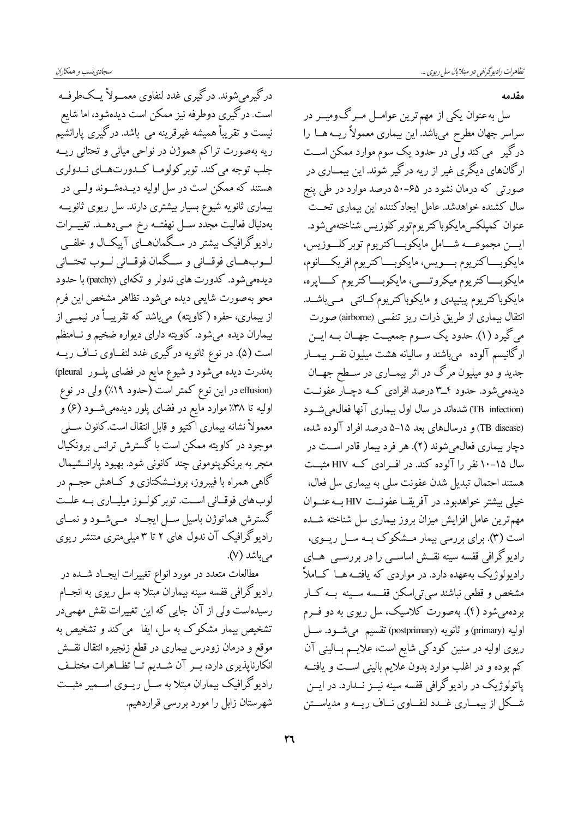درگیرمی شوند. درگیری غدد لنفاوی معمــولاً یــکطرفــه است. درگیری دوطرفه نیز ممکن است دیدهشود، اما شایع نیست و تقریباً همیشه غیرقرینه می باشد. درگیری پارانشیم ریه بهصورت تراکم هموژن در نواحی میانی و تحتانی ریــه جلب توجه می کند. توبر کولومـا کــدورتهــای نــدولری هستند که ممکن است در سل اولیه دیــدهشــوند ولــی در بیماری ثانویه شیوع بسیار بیشتری دارند. سل ریوی ثانویــه بهدنبال فعالیت مجدد ســل نهفتــه رخ مــیدهــد. تغییــرات رادیوگرافیک بیشتر در سـگمانهــای آپیکــال و خلفــی لــوبهــاي فوقــاني و ســگمان فوقــاني لــوب تحتــاني دیدهمیشود. کدورت های ندولر و تکهای (patchy) با حدود محو بهصورت شایعی دیده میشود. تظاهر مشخص این فرم از بیماری، حفره (کاویته) می باشد که تقریبــاً در نیمــی از بیماران دیده میشود. کاویته دارای دیواره ضخیم و نـامنظم است (۵). در نوع ثانویه درگیری غدد لنفــاوی نــاف ریـــه بهندرت دیده میّشود و شیوع مایع در فضای پلــور pleural) effusion) در این نوع کمتر است (حدود ۸۹٪) ولی در نوع اولیه تا ۳۸٪ موارد مایع در فضای پلور دیدهمیشود (۶) و معمولاً نشانه بیماری اکتیو و قابل انتقال است.کانون ســلی موجود در کاویته ممکن است با گسترش ترانس برونکیال منجر به برنکوینومونی چند کانونی شود. بهبود پارانــشیمال گاهی همراه با فیبروز، برونــشکتازی و کــاهش حجــم در لوب های فوقــانی اســت. توبر کولــوز میلیــاری بــه علــت گسترش هماتوژن باسیل ســل ایجــاد مــیشــود و نمــای رادیو گرافیک آن ندول های ۲ تا ۳ میلی متری منتشر ریوی می باشد (۷).

مطالعات متعدد در مورد انواع تغییرات ایجـاد شــده در رادیوگرافی قفسه سینه بیماران مبتلا به سل ریوی به انجــام رسیدهاست ولی از آن جایی که این تغییرات نقش مهمیدر تشخیص بیمار مشکوک به سل، ایفا ً می کند و تشخیص به موقع و درمان زودرس بیماری در قطع زنجیره انتقال نقــش انکارناپذیری دارد، بــر آن شــدیم تــا تظــاهرات مختلــف رادیوگرافیک بیماران مبتلا به ســل ریـــوی اســـمیر مثبــت شهرستان زابل را مورد بررسی قراردهیم. مقدمه

سل به عنوان یکی از مهم ترین عوامــل مــرگ ومیــر در سراسر جهان مطرح می باشد. این بیماری معمولاً ریــه هــا را درگیر ً می کند ولی در حدود یک سوم موارد ممکن اســت ارگانهای دیگری غیر از ریه درگیر شوند. این بیمــاری در صورتی که درمان نشود در ۶۵–۵۰ درصد موارد در طی پنج سال كشنده خواهدشد. عامل ايجاد كننده اين بيماري تحـت عنوان كميلكس مايكوباكتريوم توبر كلوزيس شناختهمي شود. ايسن مجموعـــه شـــامل مايكوبـــاكتريوم توبر كلـــوزيس، مايكوبــاكتريوم بــويس، مايكوبــاكتريوم افريكــانوم، مايكوبــاكتريوم ميكروتـــي، مايكوبــاكتريوم كـــاپره، مایکوباکتریوم پینیپدی و مایکوباکتریومکانتی مسیباشـد. انتقال بیماری از طریق ذرات ریز تنفسی (airborne) صورت مي گيرد (١). حدود يک ســوم جمعيــت جهــان بــه ايــن ارگانیسم آلوده ً میباشند و سالیانه هشت میلیون نفــر بیمــار جدید و دو میلیون مرگ در اثر بیمــاری در ســطح جهــان دیدهمی شود. حدود ۴\_۳ درصد افرادی کـه دچـار عفونـت (TB infection) شدهاند در سال اول بیماری آنها فعال می شود (TB disease) و درسالهای بعد ۱۵–۵ درصد افراد آلوده شده، دچار بیماری فعال0میشوند (۲). هر فرد بیمار قادر اســت در سال ۱۵–۱۰ نفر را آلوده کند. در اف رادی کــه HIV مثبــت هستند احتمال تبدیل شدن عفونت سلی به بیماری سل فعال، خیلی بیشتر خواهدبود. در آفریقــا عفونــت HIV بــه عنــوان مهم ترین عامل افزایش میزان بروز بیماری سل شناخته شـده است (۳). برای بررسی بیمار مشکوک بـه سـل ریــوی، رادیوگرافی قفسه سینه نقــش اساســی را در بررســی هــای رادیولوژیک بهعهده دارد. در مواردی که یافتــه هــا کــاملاً مشخص و قطعی نباشند سی تی|سکن قفــسه ســینه بــه کــار بردهمی شود (۴). بهصورت کلاسیک، سل ریوی به دو فــرم اوليه (primary) و ثانويه (postprimary) تقسيم ميشــود. ســـل ریوی اولیه در سنین کودکی شایع است، علایــم بــالینی آن کم بوده و در اغلب موارد بدون علایم بالینی اســت و یافتــه یاتولوژیک در رادیوگرافی قفسه سینه نیــز نــدارد. در ایــن شــکل از بیمــاری غــدد لنفــاوی نــاف ریــه و مدیاســتن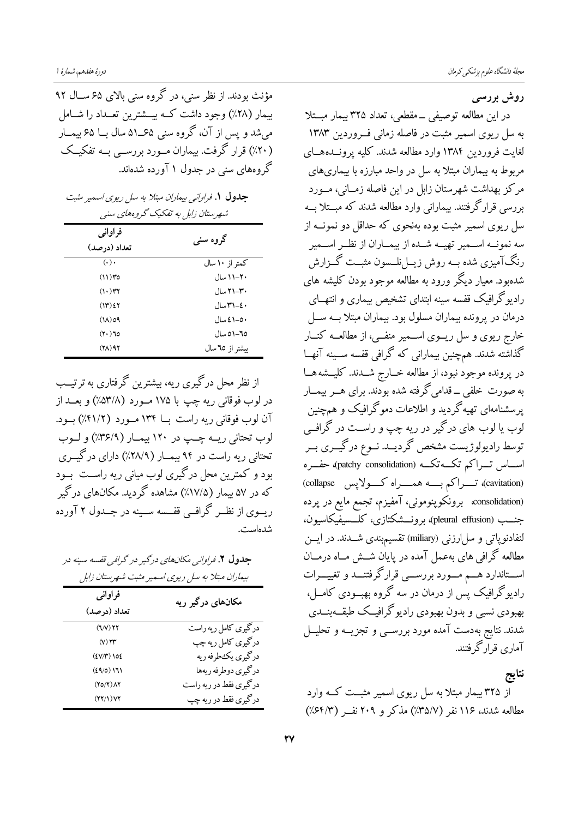| مؤنث بودند. از نظر سنی، در گروه سنی بالای ۶۵ ســال ۱۲<br>بیمار (۲۸٪) وجود داشت کــه بیـــشترین تعــداد را شــامل<br>می,شد و پس از آن، گروه سنی ۵۵ـــــ۱۵ سال بـــا ۶۵ بیمـــار<br>(۲۰٪) قرار گرفت. بیماران مــورد بررســی بــه تفکیــک<br>گروههای سنی در جدول ۱ آورده شدهاند. |                |  |
|-------------------------------------------------------------------------------------------------------------------------------------------------------------------------------------------------------------------------------------------------------------------------------|----------------|--|
| جدول ۱. فر <i>اوانی بیماران مبتلا به سل ریوی اس</i> میر مثبت<br>شهرستان زابل به تفکیک گروههای سنی                                                                                                                                                                             |                |  |
|                                                                                                                                                                                                                                                                               |                |  |
| فراوانبي                                                                                                                                                                                                                                                                      |                |  |
| تعداد (درصد)                                                                                                                                                                                                                                                                  | گروه سنی       |  |
| $(\cdot)$ .                                                                                                                                                                                                                                                                   | کمتر از ۱۰ سال |  |
| ۲۵ (۱۱)                                                                                                                                                                                                                                                                       | ۲۰–۱۱ سال      |  |
| $(1 \cdot)$ ۳۲                                                                                                                                                                                                                                                                | ۳۰–۲۱ سال      |  |
| $(17)$ ٤٢                                                                                                                                                                                                                                                                     | ٤٠–٣١سال       |  |
| $(\Lambda/\Lambda)$                                                                                                                                                                                                                                                           | ٥٠–٤١ سال      |  |
| $\mathfrak{c}(\cdot)$                                                                                                                                                                                                                                                         | ٦٥–٥١ سال      |  |

از نظر محل درگیری ریه، بیشترین گرفتاری به ترتیــب در لوب فوقاني ريه چپ با ۱۷۵ مـورد (۵۳/۸٪) و بعــد از آن لوب فوقانی ریه راست بــا ۱۳۴ مــورد (۴۱/۲٪) بــود. لوب تحتاني ريسه چسب در ۱۲۰ بيمسار (۳۶/۹٪) و لسوب تحتانی ریه راست در ۹۴ بیمیار (۲۸/۹٪) دارای درگیری بود و کمترین محل درگیری لوب میانی ریه راســت بــود که در ۵۷ بیمار (۱۷/۵٪) مشاهده گردید. مکانهای درگیر ریـــوی از نظــر گرافــی قفـــسه ســـینه در جـــدول ۲ آورده شدهاست.

حلول ۲. فر*اوانی مکانهای د*رگیر در گراف<sub>ی</sub> قفسه سینه در بیمارا*ن میتلا به بیل دیوی اسمه* مثبت ش*صه بیتان زاپا* 

| $\sqrt{5}$ $\sim$ $\sim$ $\sqrt{5}$<br>$\cdot$ $\cdot$<br>הריכש הרכה הן ששיט |                        |
|------------------------------------------------------------------------------|------------------------|
| فراوانى<br>تعداد (درصد)                                                      | مکانهای درگیر ریه      |
| (5/1)                                                                        | درگیری کامل ریه راست   |
| $(V)$ $\Upsilon$                                                             | درگیری کامل ریه چپ     |
| $(2V/T)$ 102                                                                 | درگيري يکءطرفه ريه     |
| $(29/0)$ 171                                                                 | درگيري دوطرفه ريهها    |
| $(70/7)$ $\Lambda$                                                           | درگیری فقط در ریه راست |
| $(YY/\Upsilon)$                                                              | درگیری فقط در ریه چپ   |

در این مطالعه توصیفی ــ مقطعی، تعداد ۳۲۵ بیمار مبــتلا به سل ریوی اسمیر مثبت در فاصله زمانی ف وردین ۱۳۸۳ لغايت فروردين ١٣٨٤ وارد مطالعه شدند. كليه پرونــدههــاي مربوط به بیماران مبتلا به سل در واحد مبارزه با بیماری های مرکز بهداشت شهرستان زابل در این فاصله زمــانی، مــورد بررسی قرار گرفتند. بیمارانی وارد مطالعه شدند که مستلا ب سل ریوی اسمیر مثبت بوده بهنحوی که حداقل دو نمونــه از سه نمونــه اســمیر تهیــه شــده از بیمــاران از نظــر اســمیر رنگآمیزی شده بــه روش زیــلiلــسون مثبــت گــزارش شدهبود. معیار دیگر ورود به مطالعه موجود بودن کلیشه های رادیو گرافیک قفسه سینه ابتدای تشخیص بیماری و انتهــای درمان در پرونده بیماران مسلول بود. بیماران مبتلا بــه ســـل خارج ریوی و سل ریسوی استمیر منفـبی، از مطالعــه کنــار گذاشته شدند. همچنین بیمارانی که گرافی قفسه ســینه آنهــا در پرونده موجود نبود، از مطالعه خــارج شــدند. کلیـــشه هــا به صورت خلفی ــ قدامی گرفته شده بودند. برای هــر بیمــار پرسشنامهای تهیه گردید و اطلاعات دموگرافیک و همچنین لوب یا لوب های درگیر در ریه چپ و راســت در گَرافــی توسط رادیولوژیست مشخص گردیــد. نــوع درگیــری بــر اساس تــراكم تكــهتكــه (patchy consolidation) حفــره (cavitation)، تسراكم بسه همسراه كسولايس =collapse) consolidation» برونکوپنومونی، آمفیزم، تجمع مایع در پرده جنــب (pleural effusion)ه برونـــشكتازي، كلـــسيفيكاسيون، لنفادنویاتی و سل|رزنی (miliary) تقسیمبندی شــدند. در ایــن مطالعه گرافی های بهعمل آمده در یایان شــش مــاه درمــان اســـتاندارد هـــم مـــورد بررســـی قرارگرفتنـــد و تغییـــرات رادیوگرافیک پس از درمان در سه گروه بهبــودی کامــل، بهبودی نسبی و بدون بهبودی رادیوگرافیــک طبقـــهبنــدی شدند. نتایج بهدست آمده مورد بررســی و تجزیـــه و تحلیـــل آماری قرارگرفتند.

نتايج

از ۳۲۵ بیمار مبتلا به سل ریوی اسمیر مثبت کـه وارد مطالعه شدند، ۱۱۶ نفر (۳۵/۷٪) مذکر و ۲۰۹ نف (۶۴/۳٪)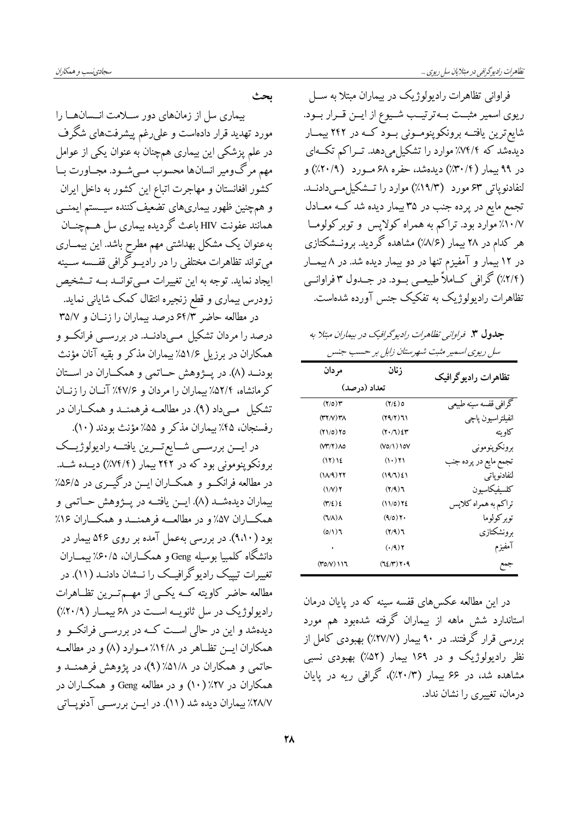بحث

بیماری سل از زمانهای دور سلامت انـسانهـا را مورد تهدید قرار دادهاست و علی رغم پیشرفتهای شگرف در علم پزشکی این بیماری همچنان به عنوان یکی از عوامل مهم مرگ<code>ومیر انسان</code>ها محسوب مـیشــود. مجــاورت بــا کشٰور افغانستان و مهاجرت اتباع این کشور به داخل ایران و همچنین ظهور بیماریهای تضعیف کننده سیــستم ایمنــی همانند عفونت HIV باعث گردیده بیماری سل هــمچنــان به عنوان یک مشکل بهداشتی مهم مطرح باشد. این بیمــاری می تواند تظاهرات مختلفی را در رادیــوگرافی قفــسه ســینه ايجاد نمايد. توجه به اين تغييرات مبي توانــد بــه تــشخيص زودرس بیماری و قطع زنجیره انتقال کمک شایانی نماید.

در مطالعه حاضر ۶۴/۳ درصد بیماران را زنسان و ۳۵/۷ درصد را مردان تشکیل مے دادنــد. در بررســی فرانکــو و همکاران در برزیل ۵۱/۶٪ بیماران مذکر و بقیه آنان مؤنث بودنـد (٨). در پــژوهش حــاتمي و همكــاران در اســتان کر مانشاه، ۵۲/۴٪ بیماران را مردان و ۴۷/۶٪ آنسان را زنسان تشکیل مے داد (۹). در مطالعــه فرهمنــد و همکــاران در رفسنجان، ۴۵٪ بیماران مذکر و ۵۵٪ مؤنث بودند (۱۰).

در ایسن بررســی شــایع تـــرین یافتـــه رادیولوژیـــک برونکوینومونی بود که در ۲۴۲ پیمار (۷۴/۴٪) دیــده شــد. در مطالعه فرانک و و همکــاران ايـــن درگيـــري در ۵۶/۵٪ بيماران ديدهشـد (٨). ايــن يافتــه در يـــژوهش حــاتمي و همکـــاران ۵۷٪ و در مطالعـــه فرهمنـــد و همکـــاران ۱۶٪ بود (۹،۱۰). در بررسی بهعمل آمده بر روی ۵۴۶ بیمار در دانشگاه کلمبیا بوسیله Geng و همکــاران، ۶۰/۵٪ بیمــاران تغییرات تپییک رادیوگرافیـک را نــشان دادنــد (١١). در مطالعه حاضر کاویته کــه یکــی از مهــمتــرین تظــاهرات رادیولوژیک در سل ثانویــه اســت در ۶۸ پیمــار (۲۰/۹٪) دیدهشد و این در حالی است کــه در بررســی فرانکــو ً و همکاران ایس تظاهر در ۱۴/۸٪ مـوارد (۸) و در مطالعــه حاتمی و همکاران در ۵۱/۸٪ (۹)، در یژوهش فرهمنــد و همکاران در ۲۷٪ ( ۱۰) و در مطالعه Geng و همکــاران در ٢٨/٧٪ بیماران دیده شد (١١). در ایــن بررســی آدنویــاتی

فراوانی تظاهرات رادیولوژیک در بیماران مبتلا به سـل ريوي اسمير مثبت بــهترتيــب شــيوع از ايــن قــرار بــود. شایع ترین یافتــه برونکوپنومــونی بــود کــه در ۲۴۲ بیمــار دیدهشد که ۷۴/۴٪ موارد را تشکیل میدهد. تــراکم تکــهای در ۹۹ بیمار (۳۰/۴٪) دیدهشد، حفره ۶۸ مـورد (۲۰/۹٪) و لنفادنوياتي ۶۳ مورد (۱۹/۳٪) موارد را تـشكيل مـي دادنــد. تجمع مایع در پرده جنب در ۳۵ بیمار دیده شد کـه معــادل ۰۱۰/۷٪ موارد بود. تراکم به همراه کولایس و توبر کولومـا هر کدام در ۲۸ بیمار (۸/۶٪) مشاهده گردید. برونــشکتازی در ۱۲ بیمار و آمفیزم تنها در دو بیمار دیده شد. در ۸ بیمـار (۲/۴٪) گرافی ک)ملاً طبیعـی بـود. در جـدول ۳ فراوانــی تظاهرات رادیولوژیک به تفکیک جنس آورده شدهاست.

جدول ۳. فرا*وانی تظاهرات دادیو گرافیک در پیماران میتلا به* سل ریوی اسمیر مثبت شهرستان زابل بر حسب جنس

| مر دان                                                     | زنان                                    | تظاهرات راديوگرافيك   |
|------------------------------------------------------------|-----------------------------------------|-----------------------|
|                                                            | تعداد (درصد)                            |                       |
| $(7/0)$ ۳                                                  | $(Y/\xi)$ o                             | گرافی قفسه سینه طبیعی |
| $(\mathsf{r}\mathsf{r}_\mathcal{N})\mathsf{r}_\mathcal{N}$ | $(Y9/Y)$ $71$                           | انفيلتراسيون پاچي     |
| $(Y1/0)$ Yo                                                | $(Y \cdot / 1)$ { $Y$                   | كاويته                |
| ۸۵ (۱۳/۲                                                   | (V0/1) 10V                              | برونكوپنوموني         |
| (11)                                                       | $(1 \cdot)$                             | تجمع مایع در پرده جنب |
| $(1/\sqrt{9})$ $\gamma\gamma$                              | $(19/1)$ £1                             | لنفادنوپاتى           |
| $(1/N)$ $\uparrow$                                         | $\mathcal{F}(\mathcal{P}(\mathcal{Y}))$ | كلسيفيكاسيون          |
| $(\mathbf{t}/\mathbf{t})$ {                                | $(11/0)$ $Y_{2}$                        | تراكم به همراه كلاپس  |
| $(\lambda/\lambda)$                                        | $(9/0)$ Y .                             | توبركولوما            |
| (۵/۱)٦                                                     | $\mathcal{J}(\mathsf{P}(\mathsf{Y}))$   | برونشكتازي            |
| $\ddot{\phantom{0}}$                                       | $(\cdot)$ ٩) ۲                          | آمفيزم                |
| ۲۱۱ (۳۵/۷)                                                 | $(T_{\xi}/T)$ ۲۰۹                       | جمع                   |

در این مطالعه عکس های قفسه سینه که در پایان درمان استاندارد شش ماهه از بیماران گرفته شدهبود هم مورد بررسی قرار گرفتند. در ۹۰ بیمار (۲۷/۷٪) بهبودی کامل از نظر رادیولوژیک و در ۱۶۹ بیمار (۵۲٪) بهبودی نسبی مشاهده شد، در ۶۶ بیمار (۲۰/۳٪)، گرافی ریه در پایان درمان، تغییری را نشان نداد.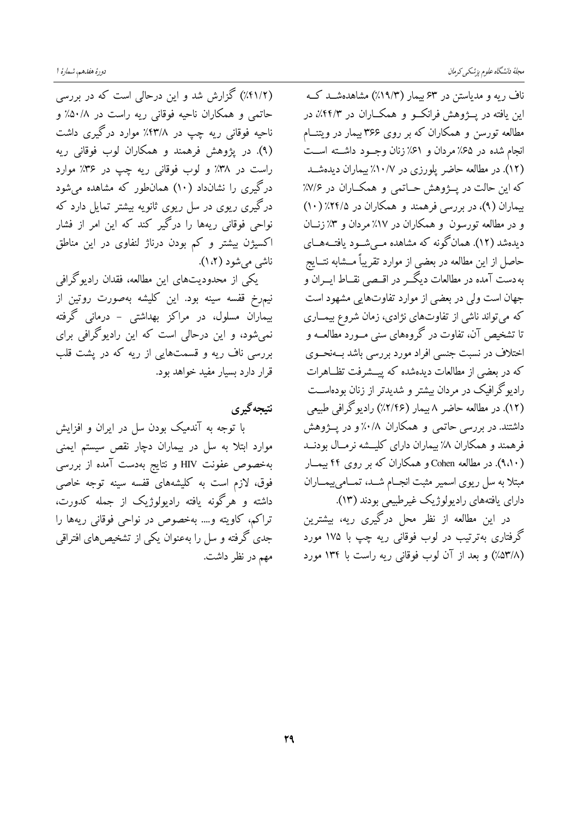(۶۱/۲٪) گزارش شد و این درحالی است که در بررسی حاتمی و همکاران ناحیه فوقانی ریه راست در ۵۰/۸٪ و ناحیه فوقانی ریه چپ در ۴۳/۸٪ موارد درگیری داشت (۹). در یژوهش فرهمند و همکاران لوب فوقانی ریه راست در ۳۸٪ و لوب فوقانی ریه چپ در ۳۶٪ موارد درگیری را نشانداد (۱۰) همانطور که مشاهده میشود درگیری ریوی در سل ریوی ثانویه بیشتر تمایل دارد که نواحی فوقانی ریهها را درگیر کند که این امر از فشار اکسیژن بیشتر و کم بودن درناژ لنفاوی در این مناطق ناشي مي شود (١،٢).

یکی از محدودیتهای این مطالعه، فقدان رادیوگرافی نیمرخ قفسه سینه بود. این کلیشه بهصورت روتین از بیماران مسلول، در مراکز بهداشتی – درمانی گرفته نمی شود، و این درحالی است که این رادیو گرافی برای بررسی ناف ریه و قسمتهایی از ریه که در پشت قلب قرار دارد بسیار مفید خواهد بود.

## نتيجه گيري

با توجه به آندمیک بودن سل در ایران و افزایش موارد ابتلا به سل در بیماران دچار نقص سیستم ایمنی بهخصوص عفونت HIV و نتايج بهدست آمده از بررسي فوق، لازم است به کلیشههای قفسه سینه توجه خاصی داشته و هرگونه یافته رادیولوژیک از جمله کدورت، تراكم، كاويته و… بهخصوص در نواحي فوقاني ريهها را جدی گرفته و سل را بهعنوان یکی از تشخیص های افتراقی مهم در نظر داشت.

ناف ریه و مدیاستن در ۶۳ بیمار (۱۹/۳٪) مشاهدهشــد کــه این یافته در پیژوهش فرانک و و همکباران در ۴۴/۳٪ در مطالعه تورسن و همکاران که بر روی ۳۶۶ بیمار در ویتنــام انجام شده در ۶۵٪ مردان و ۶۱٪ زنان وجـود داشـته اسـت (۱۲). در مطالعه حاضر یلورزی در ۱۰/۷٪ بیماران دیدهشـد که این حالت در پــژوهش حــاتمی و همکــاران در ۷/۶٪ بیماران (۹)، در بررسی فرهمند و همکاران در ۲۴/۵٪ (۱۰) و در مطالعه تورسون و همکاران در ۱۷٪ مردان و ۳٪ زنــان دیدهشد (۱۲). همانگونه که مشاهده مــیشــود یافتــههــای حاصل از این مطالعه در بعضی از موارد تقریباً مـــشابه نتـــایج .<br>به دست آمده در مطالعات دیگــر در اقــصی نقــاط ایــران و جهان است ولي در بعضي از موارد تفاوتهايي مشهود است که می تواند ناشی از تفاوتهای نژادی، زمان شروع بیمــاری تا تشخیص آن، تفاوت در گروههای سنی مــورد مطالعــه و اختلاف در نسبت جنسی افراد مورد بررسی باشد بــهنحــوی که در بعضی از مطالعات دیدهشده که پیــشرفت تظــاهرات رادیو گرافیک در مردان بیشتر و شدیدتر از زنان بودهاســت (١٢). در مطالعه حاضر ٨ بيمار (٢/٢۶٪) راديو گرافي طبيعي داشتند. در بررسی حاتمی و همکاران ۰/۸٪ و در پــژوهش فرهمند و همکاران ۸٪ بیماران دارای کلیــشه نرمــال بودنــد (۹،۱۰). در مطالعه Cohen و همکاران که بر روی ۴۴ بیمـار مبتلا به سل ریوی اسمیر مثبت انجـام شـد، تمـامی بیمـاران دارای یافتههای رادیولوژیک غیرطبیعی بودند (۱۳).

در این مطالعه از نظر محل درگیری ریه، بیشترین گرفتاری بهترتیب در لوب فوقانی ریه چپ با ۱۷۵ مورد (۵۳/۸٪) و بعد از آن لوب فوقانی ریه راست با ۱۳۴ مورد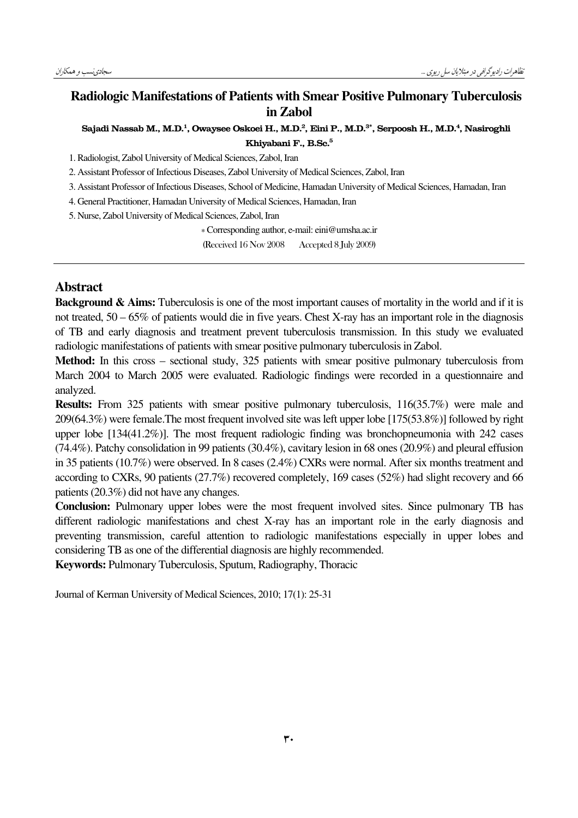## Radiologic Manifestations of Patients with Smear Positive Pulmonary Tuberculosis in Zabol

Sajadi Nassab M., M.D.<sup>1</sup>, Owaysee Oskoei H., M.D.<sup>2</sup>, Eini P., M.D.<sup>3</sup>\*, Serpoosh H., M.D.<sup>4</sup>, Nasiroghli Khiyabani F., B.Sc.<sup>5</sup>

1. Radiologist, Zabol University of Medical Sciences, Zabol, Iran

2. Assistant Professor of Infectious Diseases, Zabol University of Medical Sciences, Zabol, Iran

3. Assistant Professor of Infectious Diseases, School of Medicine, Hamadan University of Medical Sciences, Hamadan, Iran

4. General Practitioner, Hamadan University of Medical Sciences, Hamadan, Iran

5. Nurse, Zabol University of Medical Sciences, Zabol, Iran

\* Corresponding author, e-mail: eini@umsha.ac.ir

(Received 16 Accepted 8 July 2009)

#### Abstract

Background & Aims: Tuberculosis is one of the most important causes of mortality in the world and if it is not treated, 50 – 65% of patients would die in five years. Chest X-ray has an important role in the diagnosis of TB and early diagnosis and treatment prevent tuberculosis transmission. In this study we evaluated radiologic manifestations of patients with smear positive pulmonary tuberculosis in Zabol.

Method: In this cross – sectional study, 325 patients with smear positive pulmonary tuberculosis from March 2004 to March 2005 were evaluated. Radiologic findings were recorded in a questionnaire and analyzed.

Results: From 325 patients with smear positive pulmonary tuberculosis, 116(35.7%) were male and 209(64.3%) were female.The most frequent involved site was left upper lobe [175(53.8%)] followed by right upper lobe [134(41.2%)]. The most frequent radiologic finding was bronchopneumonia with 242 cases (74.4%). Patchy consolidation in 99 patients (30.4%), cavitary lesion in 68 ones (20.9%) and pleural effusion in 35 patients (10.7%) were observed. In 8 cases (2.4%) CXRs were normal. After six months treatment and according to CXRs, 90 patients (27.7%) recovered completely, 169 cases (52%) had slight recovery and 66 patients (20.3%) did not have any changes.

Conclusion: Pulmonary upper lobes were the most frequent involved sites. Since pulmonary TB has different radiologic manifestations and chest X-ray has an important role in the early diagnosis and preventing transmission, careful attention to radiologic manifestations especially in upper lobes and considering TB as one of the differential diagnosis are highly recommended.

Keywords: Pulmonary Tuberculosis, Sputum, Radiography, Thoracic

Journal of Kerman University of Medical Sciences, 2010; 17(1): 25-31